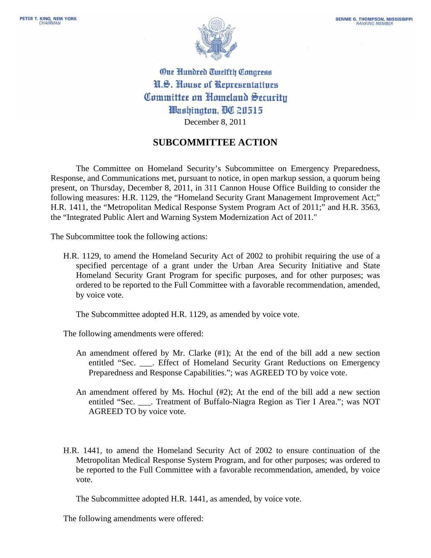

**One Hundred Twelfth Congress** N.S. House of Representatives Committee on Homeland Security Washinaton, DC 20515 December 8, 2011

## **SUBCOMMITTEE ACTION**

The Committee on Homeland Security's Subcommittee on Emergency Preparedness, Response, and Communications met, pursuant to notice, in open markup session, a quorum being present, on Thursday, December 8, 2011, in 311 Cannon House Office Building to consider the following measures: H.R. 1129, the "Homeland Security Grant Management Improvement Act;" H.R. 1411, the "Metropolitan Medical Response System Program Act of 2011;" and H.R. 3563, the "Integrated Public Alert and Warning System Modernization Act of 2011."

The Subcommittee took the following actions:

H.R. 1129, to amend the Homeland Security Act of 2002 to prohibit requiring the use of a specified percentage of a grant under the Urban Area Security Initiative and State Homeland Security Grant Program for specific purposes, and for other purposes; was ordered to be reported to the Full Committee with a favorable recommendation, amended, by voice vote.

The Subcommittee adopted H.R. 1129, as amended by voice vote.

The following amendments were offered:

- An amendment offered by Mr. Clarke (#1); At the end of the bill add a new section entitled "Sec. . Effect of Homeland Security Grant Reductions on Emergency Preparedness and Response Capabilities."; was AGREED TO by voice vote.
- An amendment offered by Ms. Hochul (#2); At the end of the bill add a new section entitled "Sec. \_\_\_. Treatment of Buffalo-Niagra Region as Tier I Area."; was NOT AGREED TO by voice vote.
- H.R. 1441, to amend the Homeland Security Act of 2002 to ensure continuation of the Metropolitan Medical Response System Program, and for other purposes; was ordered to be reported to the Full Committee with a favorable recommendation, amended, by voice vote.

The Subcommittee adopted H.R. 1441, as amended, by voice vote.

The following amendments were offered: